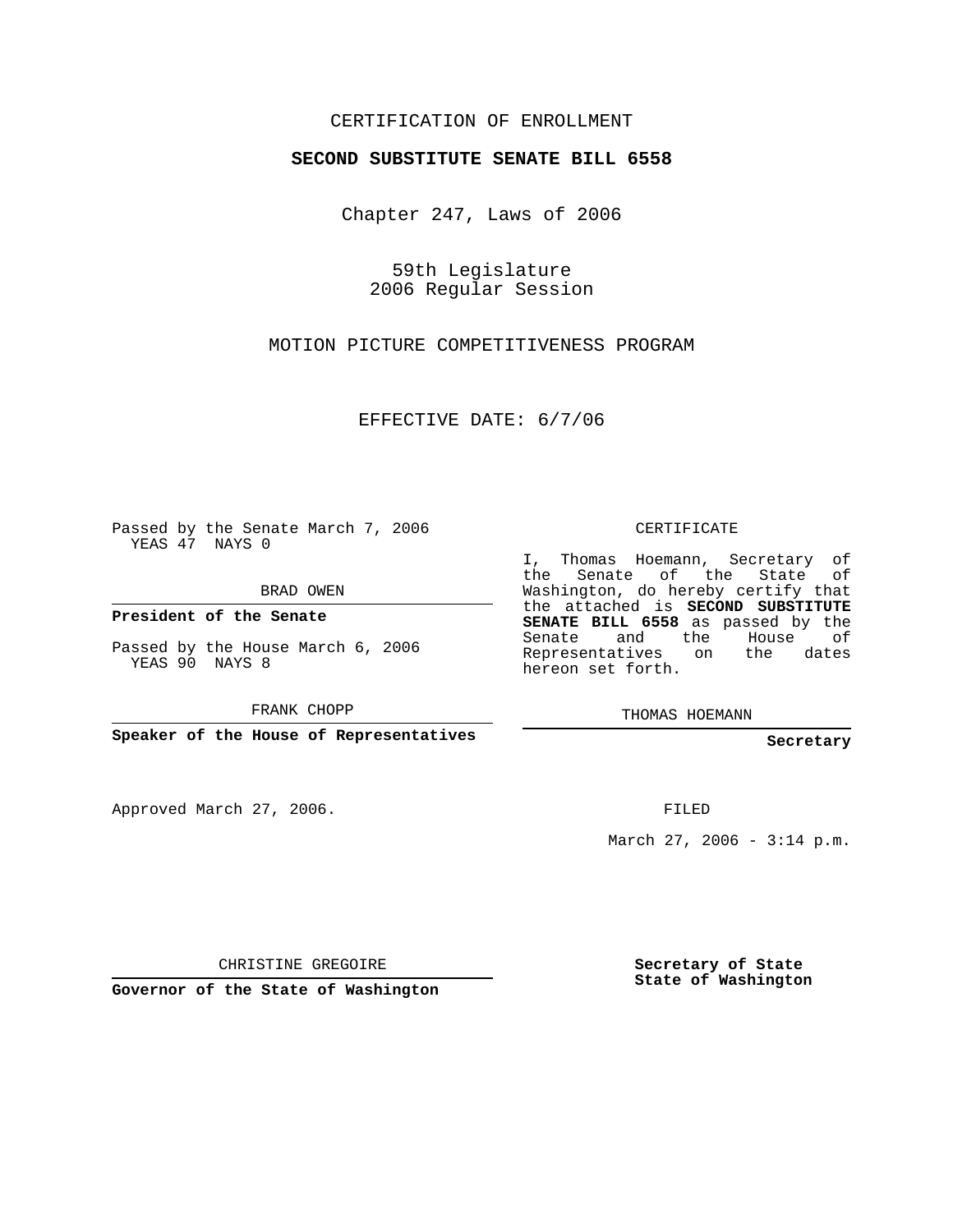## CERTIFICATION OF ENROLLMENT

## **SECOND SUBSTITUTE SENATE BILL 6558**

Chapter 247, Laws of 2006

59th Legislature 2006 Regular Session

MOTION PICTURE COMPETITIVENESS PROGRAM

EFFECTIVE DATE: 6/7/06

Passed by the Senate March 7, 2006 YEAS 47 NAYS 0

BRAD OWEN

**President of the Senate**

Passed by the House March 6, 2006 YEAS 90 NAYS 8

FRANK CHOPP

**Speaker of the House of Representatives**

Approved March 27, 2006.

CERTIFICATE

I, Thomas Hoemann, Secretary of the Senate of the State of Washington, do hereby certify that the attached is **SECOND SUBSTITUTE SENATE BILL 6558** as passed by the Senate and the House of Representatives on the dates hereon set forth.

THOMAS HOEMANN

**Secretary**

FILED

March 27, 2006 -  $3:14$  p.m.

CHRISTINE GREGOIRE

**Governor of the State of Washington**

**Secretary of State State of Washington**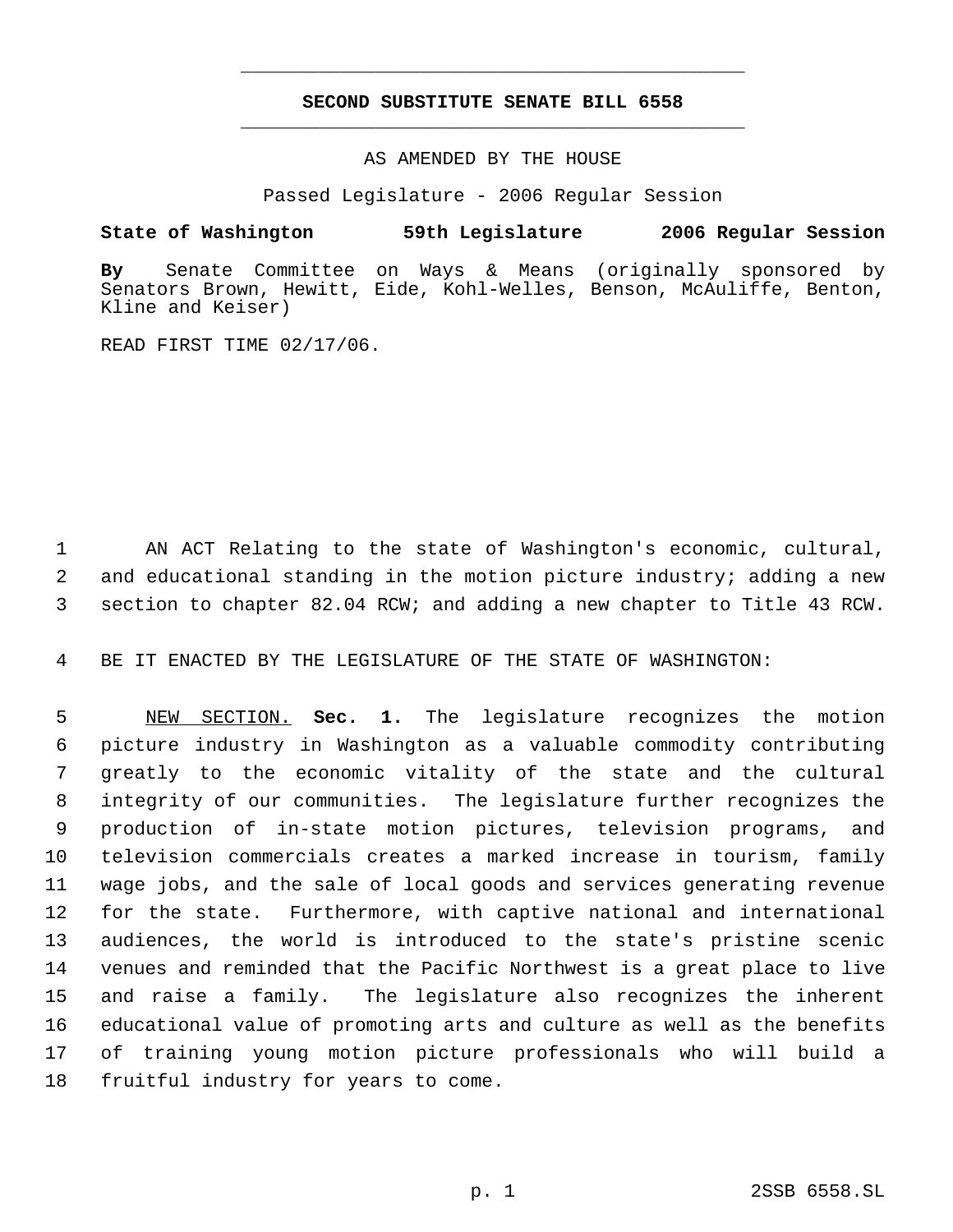## **SECOND SUBSTITUTE SENATE BILL 6558** \_\_\_\_\_\_\_\_\_\_\_\_\_\_\_\_\_\_\_\_\_\_\_\_\_\_\_\_\_\_\_\_\_\_\_\_\_\_\_\_\_\_\_\_\_

\_\_\_\_\_\_\_\_\_\_\_\_\_\_\_\_\_\_\_\_\_\_\_\_\_\_\_\_\_\_\_\_\_\_\_\_\_\_\_\_\_\_\_\_\_

AS AMENDED BY THE HOUSE

Passed Legislature - 2006 Regular Session

## **State of Washington 59th Legislature 2006 Regular Session**

**By** Senate Committee on Ways & Means (originally sponsored by Senators Brown, Hewitt, Eide, Kohl-Welles, Benson, McAuliffe, Benton, Kline and Keiser)

READ FIRST TIME 02/17/06.

 AN ACT Relating to the state of Washington's economic, cultural, and educational standing in the motion picture industry; adding a new section to chapter 82.04 RCW; and adding a new chapter to Title 43 RCW.

BE IT ENACTED BY THE LEGISLATURE OF THE STATE OF WASHINGTON:

 NEW SECTION. **Sec. 1.** The legislature recognizes the motion picture industry in Washington as a valuable commodity contributing greatly to the economic vitality of the state and the cultural integrity of our communities. The legislature further recognizes the production of in-state motion pictures, television programs, and television commercials creates a marked increase in tourism, family wage jobs, and the sale of local goods and services generating revenue for the state. Furthermore, with captive national and international audiences, the world is introduced to the state's pristine scenic venues and reminded that the Pacific Northwest is a great place to live and raise a family. The legislature also recognizes the inherent educational value of promoting arts and culture as well as the benefits of training young motion picture professionals who will build a fruitful industry for years to come.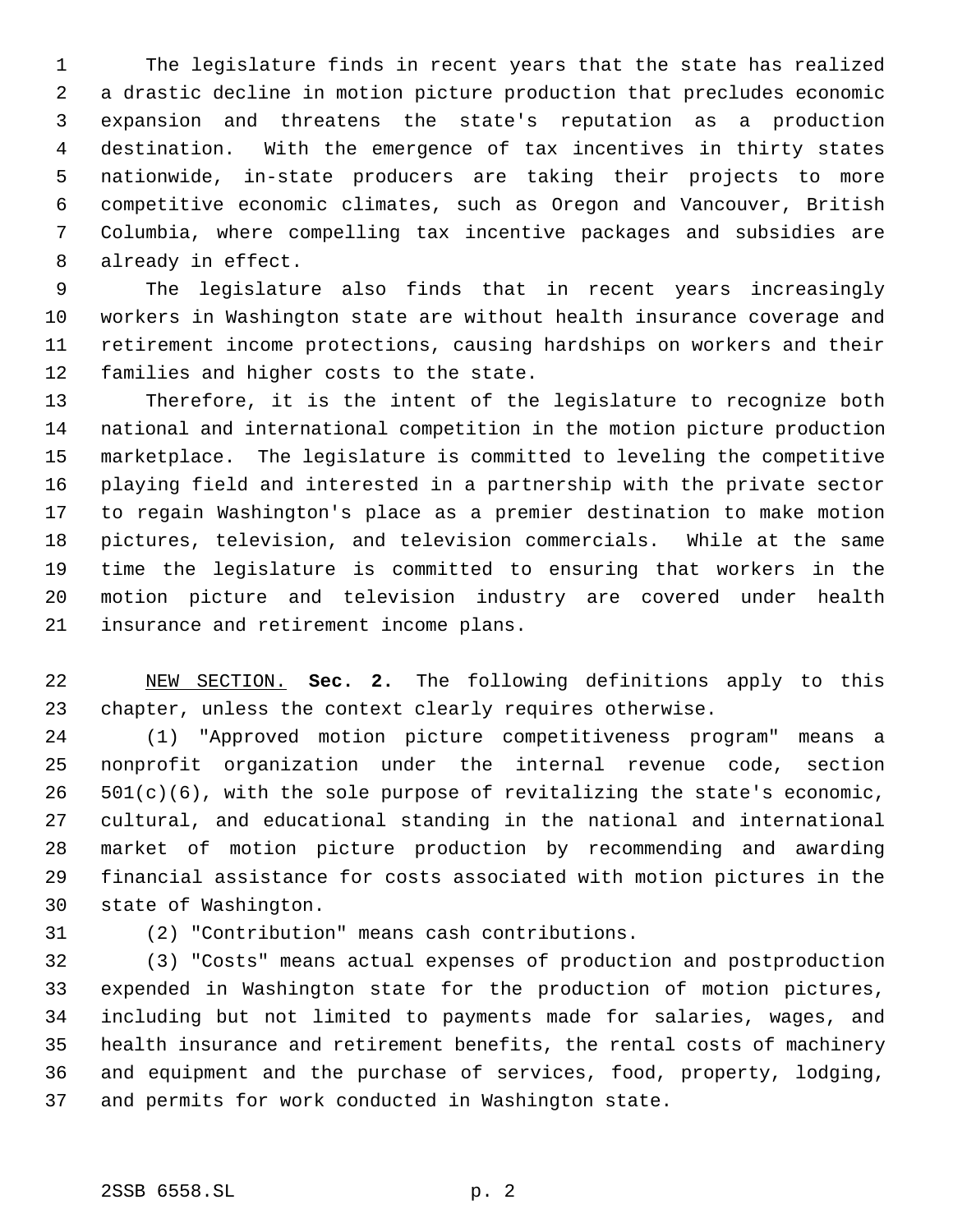The legislature finds in recent years that the state has realized a drastic decline in motion picture production that precludes economic expansion and threatens the state's reputation as a production destination. With the emergence of tax incentives in thirty states nationwide, in-state producers are taking their projects to more competitive economic climates, such as Oregon and Vancouver, British Columbia, where compelling tax incentive packages and subsidies are already in effect.

 The legislature also finds that in recent years increasingly workers in Washington state are without health insurance coverage and retirement income protections, causing hardships on workers and their families and higher costs to the state.

 Therefore, it is the intent of the legislature to recognize both national and international competition in the motion picture production marketplace. The legislature is committed to leveling the competitive playing field and interested in a partnership with the private sector to regain Washington's place as a premier destination to make motion pictures, television, and television commercials. While at the same time the legislature is committed to ensuring that workers in the motion picture and television industry are covered under health insurance and retirement income plans.

 NEW SECTION. **Sec. 2.** The following definitions apply to this chapter, unless the context clearly requires otherwise.

 (1) "Approved motion picture competitiveness program" means a nonprofit organization under the internal revenue code, section 501(c)(6), with the sole purpose of revitalizing the state's economic, cultural, and educational standing in the national and international market of motion picture production by recommending and awarding financial assistance for costs associated with motion pictures in the state of Washington.

(2) "Contribution" means cash contributions.

 (3) "Costs" means actual expenses of production and postproduction expended in Washington state for the production of motion pictures, including but not limited to payments made for salaries, wages, and health insurance and retirement benefits, the rental costs of machinery and equipment and the purchase of services, food, property, lodging, and permits for work conducted in Washington state.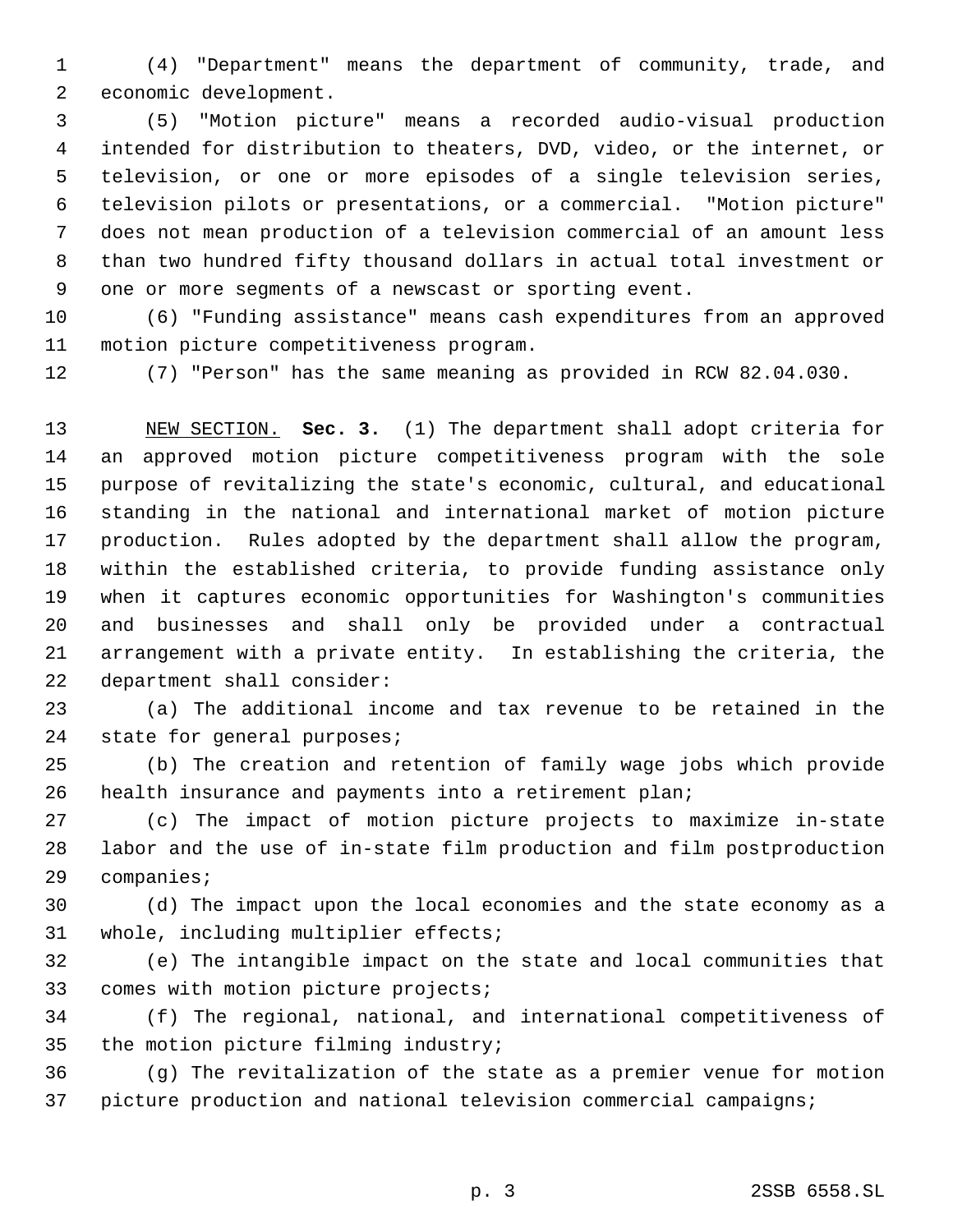(4) "Department" means the department of community, trade, and economic development.

 (5) "Motion picture" means a recorded audio-visual production intended for distribution to theaters, DVD, video, or the internet, or television, or one or more episodes of a single television series, television pilots or presentations, or a commercial. "Motion picture" does not mean production of a television commercial of an amount less than two hundred fifty thousand dollars in actual total investment or one or more segments of a newscast or sporting event.

 (6) "Funding assistance" means cash expenditures from an approved motion picture competitiveness program.

(7) "Person" has the same meaning as provided in RCW 82.04.030.

 NEW SECTION. **Sec. 3.** (1) The department shall adopt criteria for an approved motion picture competitiveness program with the sole purpose of revitalizing the state's economic, cultural, and educational standing in the national and international market of motion picture production. Rules adopted by the department shall allow the program, within the established criteria, to provide funding assistance only when it captures economic opportunities for Washington's communities and businesses and shall only be provided under a contractual arrangement with a private entity. In establishing the criteria, the department shall consider:

 (a) The additional income and tax revenue to be retained in the state for general purposes;

 (b) The creation and retention of family wage jobs which provide health insurance and payments into a retirement plan;

 (c) The impact of motion picture projects to maximize in-state labor and the use of in-state film production and film postproduction companies;

 (d) The impact upon the local economies and the state economy as a whole, including multiplier effects;

 (e) The intangible impact on the state and local communities that comes with motion picture projects;

 (f) The regional, national, and international competitiveness of the motion picture filming industry;

 (g) The revitalization of the state as a premier venue for motion picture production and national television commercial campaigns;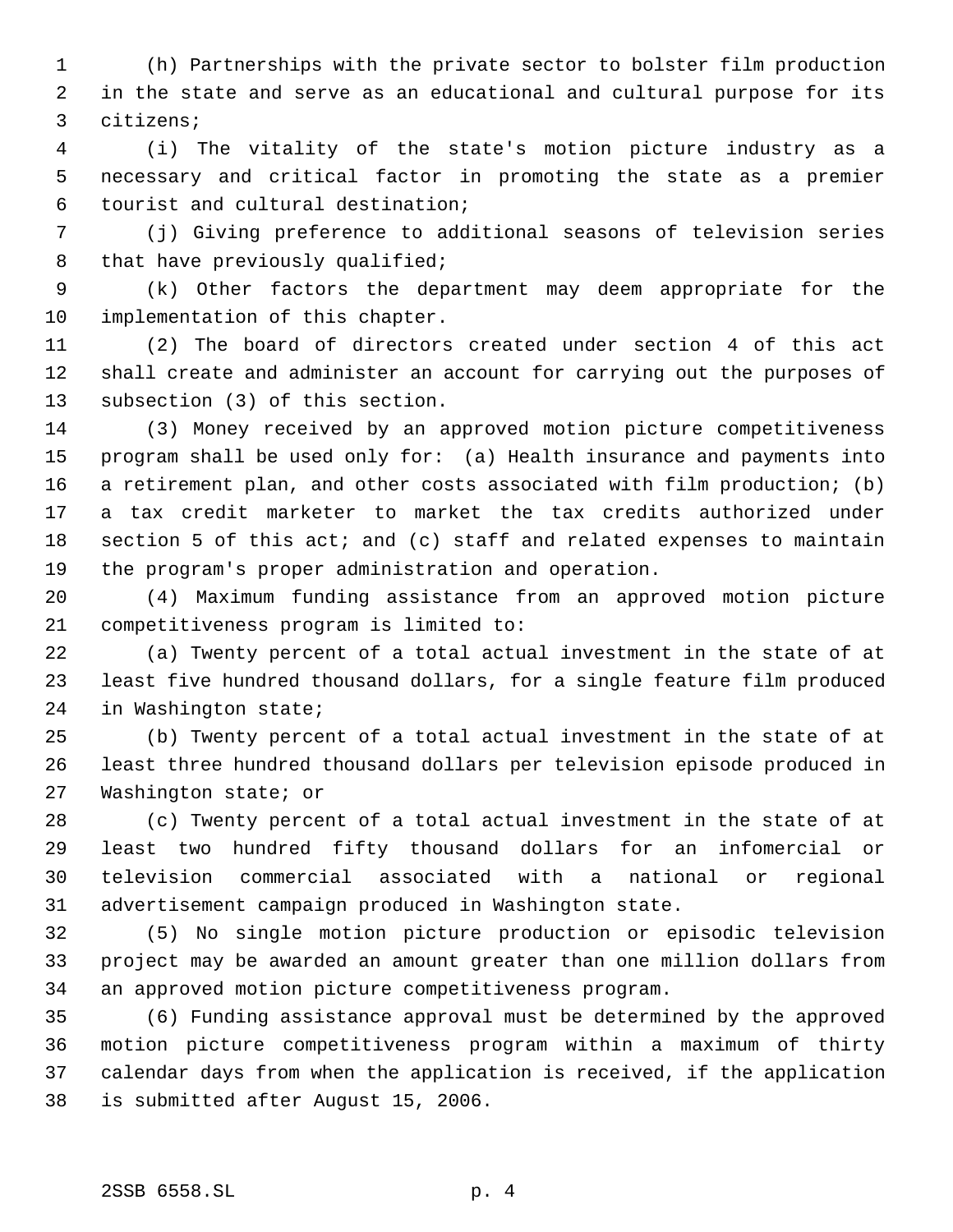(h) Partnerships with the private sector to bolster film production in the state and serve as an educational and cultural purpose for its citizens;

 (i) The vitality of the state's motion picture industry as a necessary and critical factor in promoting the state as a premier tourist and cultural destination;

 (j) Giving preference to additional seasons of television series 8 that have previously qualified;

 (k) Other factors the department may deem appropriate for the implementation of this chapter.

 (2) The board of directors created under section 4 of this act shall create and administer an account for carrying out the purposes of subsection (3) of this section.

 (3) Money received by an approved motion picture competitiveness program shall be used only for: (a) Health insurance and payments into a retirement plan, and other costs associated with film production; (b) a tax credit marketer to market the tax credits authorized under section 5 of this act; and (c) staff and related expenses to maintain the program's proper administration and operation.

 (4) Maximum funding assistance from an approved motion picture competitiveness program is limited to:

 (a) Twenty percent of a total actual investment in the state of at least five hundred thousand dollars, for a single feature film produced in Washington state;

 (b) Twenty percent of a total actual investment in the state of at least three hundred thousand dollars per television episode produced in Washington state; or

 (c) Twenty percent of a total actual investment in the state of at least two hundred fifty thousand dollars for an infomercial or television commercial associated with a national or regional advertisement campaign produced in Washington state.

 (5) No single motion picture production or episodic television project may be awarded an amount greater than one million dollars from an approved motion picture competitiveness program.

 (6) Funding assistance approval must be determined by the approved motion picture competitiveness program within a maximum of thirty calendar days from when the application is received, if the application is submitted after August 15, 2006.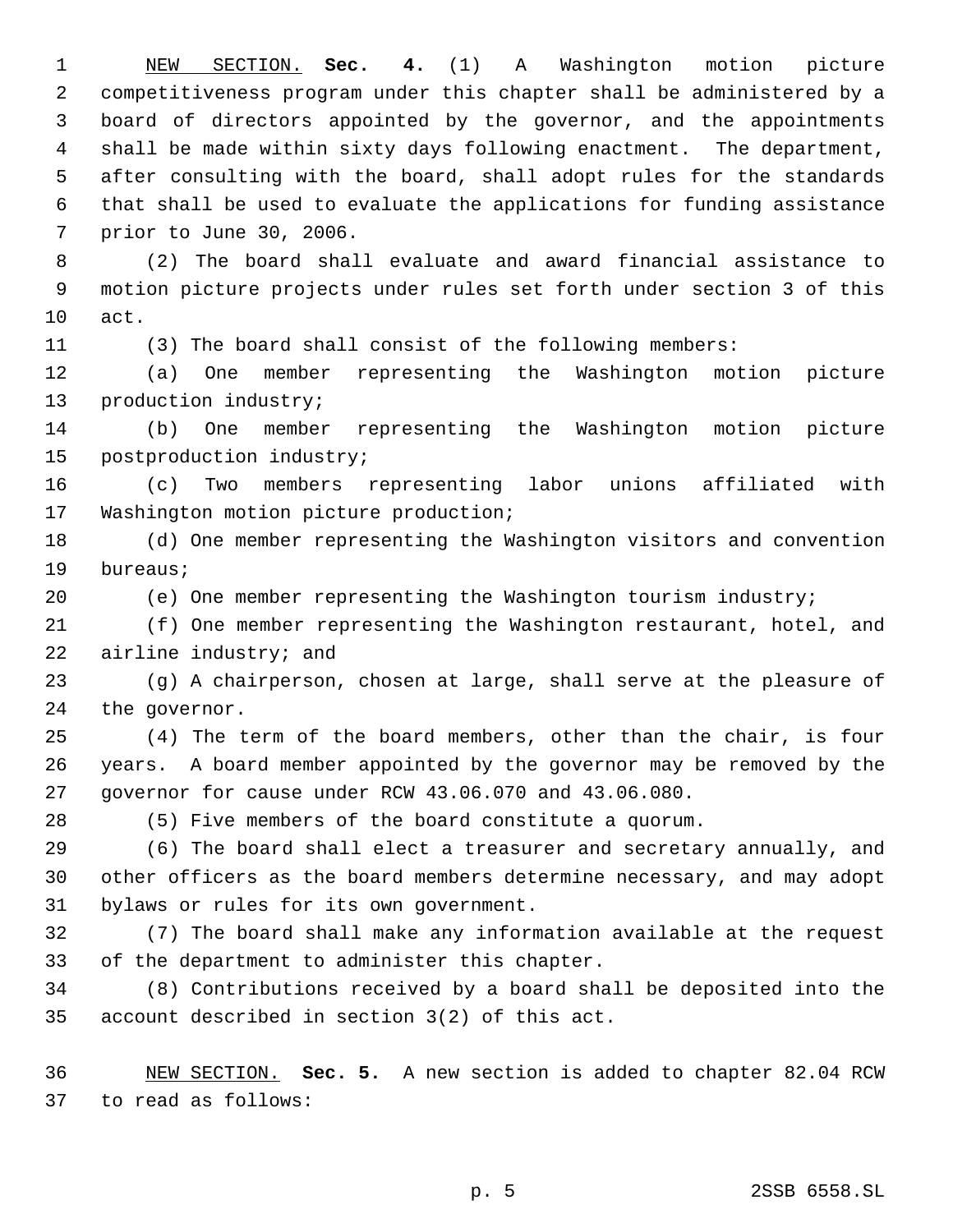NEW SECTION. **Sec. 4.** (1) A Washington motion picture competitiveness program under this chapter shall be administered by a board of directors appointed by the governor, and the appointments shall be made within sixty days following enactment. The department, after consulting with the board, shall adopt rules for the standards that shall be used to evaluate the applications for funding assistance prior to June 30, 2006.

 (2) The board shall evaluate and award financial assistance to motion picture projects under rules set forth under section 3 of this act.

(3) The board shall consist of the following members:

 (a) One member representing the Washington motion picture production industry;

 (b) One member representing the Washington motion picture postproduction industry;

 (c) Two members representing labor unions affiliated with Washington motion picture production;

 (d) One member representing the Washington visitors and convention bureaus;

(e) One member representing the Washington tourism industry;

 (f) One member representing the Washington restaurant, hotel, and airline industry; and

 (g) A chairperson, chosen at large, shall serve at the pleasure of the governor.

 (4) The term of the board members, other than the chair, is four years. A board member appointed by the governor may be removed by the governor for cause under RCW 43.06.070 and 43.06.080.

(5) Five members of the board constitute a quorum.

 (6) The board shall elect a treasurer and secretary annually, and other officers as the board members determine necessary, and may adopt bylaws or rules for its own government.

 (7) The board shall make any information available at the request of the department to administer this chapter.

 (8) Contributions received by a board shall be deposited into the account described in section 3(2) of this act.

 NEW SECTION. **Sec. 5.** A new section is added to chapter 82.04 RCW to read as follows: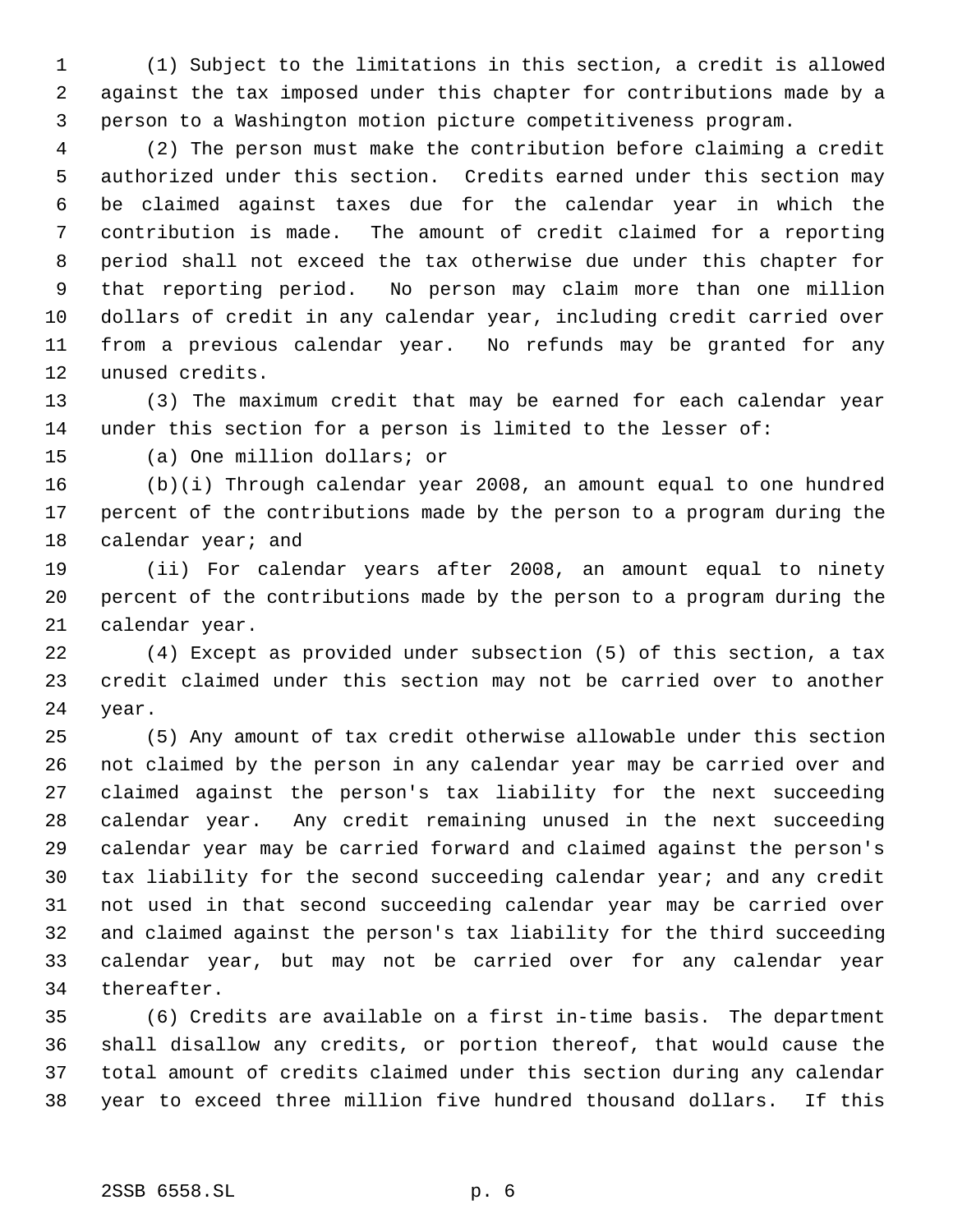(1) Subject to the limitations in this section, a credit is allowed against the tax imposed under this chapter for contributions made by a person to a Washington motion picture competitiveness program.

 (2) The person must make the contribution before claiming a credit authorized under this section. Credits earned under this section may be claimed against taxes due for the calendar year in which the contribution is made. The amount of credit claimed for a reporting period shall not exceed the tax otherwise due under this chapter for that reporting period. No person may claim more than one million dollars of credit in any calendar year, including credit carried over from a previous calendar year. No refunds may be granted for any unused credits.

 (3) The maximum credit that may be earned for each calendar year under this section for a person is limited to the lesser of:

(a) One million dollars; or

 (b)(i) Through calendar year 2008, an amount equal to one hundred percent of the contributions made by the person to a program during the 18 calendar year; and

 (ii) For calendar years after 2008, an amount equal to ninety percent of the contributions made by the person to a program during the calendar year.

 (4) Except as provided under subsection (5) of this section, a tax credit claimed under this section may not be carried over to another year.

 (5) Any amount of tax credit otherwise allowable under this section not claimed by the person in any calendar year may be carried over and claimed against the person's tax liability for the next succeeding calendar year. Any credit remaining unused in the next succeeding calendar year may be carried forward and claimed against the person's tax liability for the second succeeding calendar year; and any credit not used in that second succeeding calendar year may be carried over and claimed against the person's tax liability for the third succeeding calendar year, but may not be carried over for any calendar year thereafter.

 (6) Credits are available on a first in-time basis. The department shall disallow any credits, or portion thereof, that would cause the total amount of credits claimed under this section during any calendar year to exceed three million five hundred thousand dollars. If this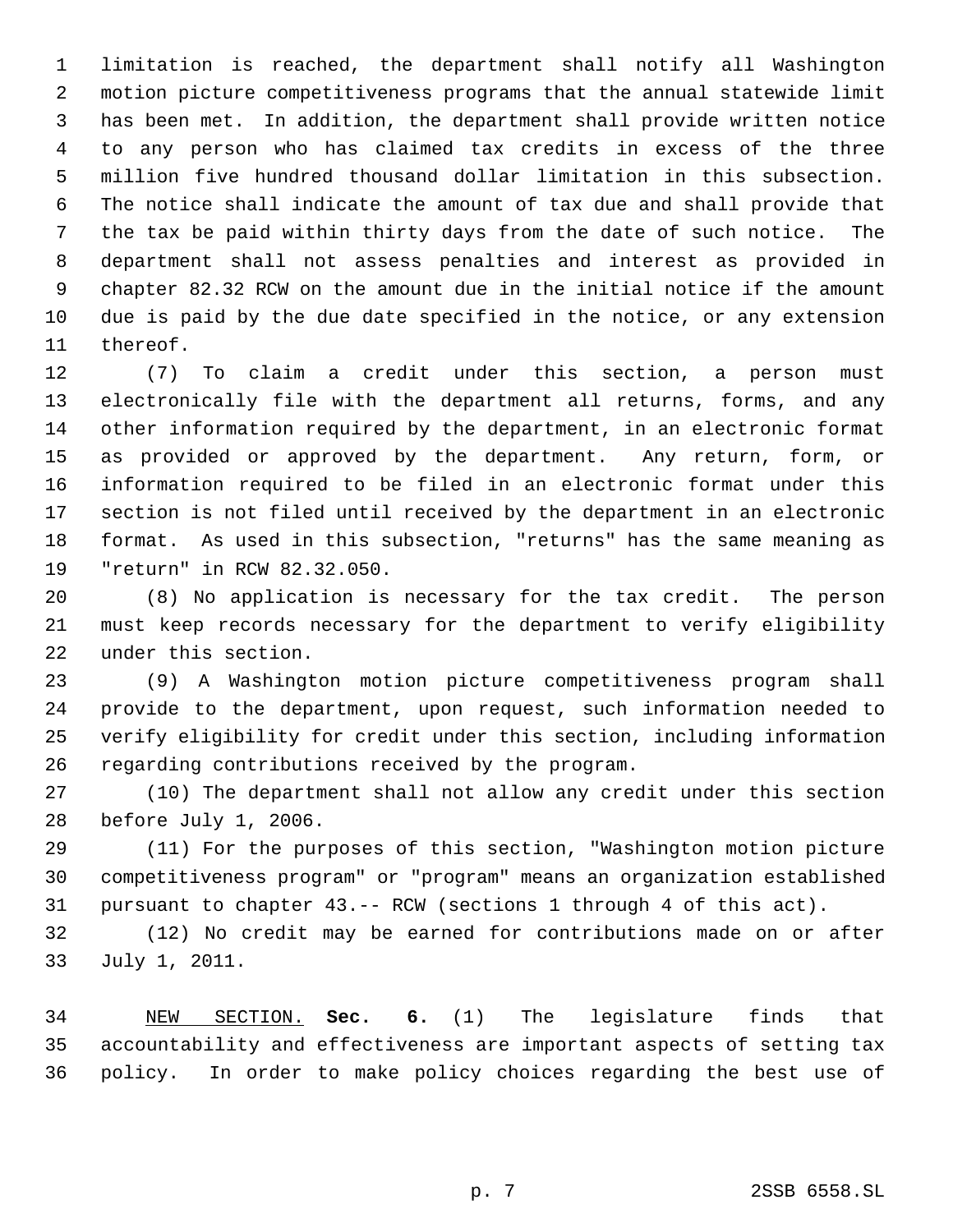limitation is reached, the department shall notify all Washington motion picture competitiveness programs that the annual statewide limit has been met. In addition, the department shall provide written notice to any person who has claimed tax credits in excess of the three million five hundred thousand dollar limitation in this subsection. The notice shall indicate the amount of tax due and shall provide that the tax be paid within thirty days from the date of such notice. The department shall not assess penalties and interest as provided in chapter 82.32 RCW on the amount due in the initial notice if the amount due is paid by the due date specified in the notice, or any extension thereof.

 (7) To claim a credit under this section, a person must electronically file with the department all returns, forms, and any other information required by the department, in an electronic format as provided or approved by the department. Any return, form, or information required to be filed in an electronic format under this section is not filed until received by the department in an electronic format. As used in this subsection, "returns" has the same meaning as "return" in RCW 82.32.050.

 (8) No application is necessary for the tax credit. The person must keep records necessary for the department to verify eligibility under this section.

 (9) A Washington motion picture competitiveness program shall provide to the department, upon request, such information needed to verify eligibility for credit under this section, including information regarding contributions received by the program.

 (10) The department shall not allow any credit under this section before July 1, 2006.

 (11) For the purposes of this section, "Washington motion picture competitiveness program" or "program" means an organization established pursuant to chapter 43.-- RCW (sections 1 through 4 of this act).

 (12) No credit may be earned for contributions made on or after July 1, 2011.

 NEW SECTION. **Sec. 6.** (1) The legislature finds that accountability and effectiveness are important aspects of setting tax policy. In order to make policy choices regarding the best use of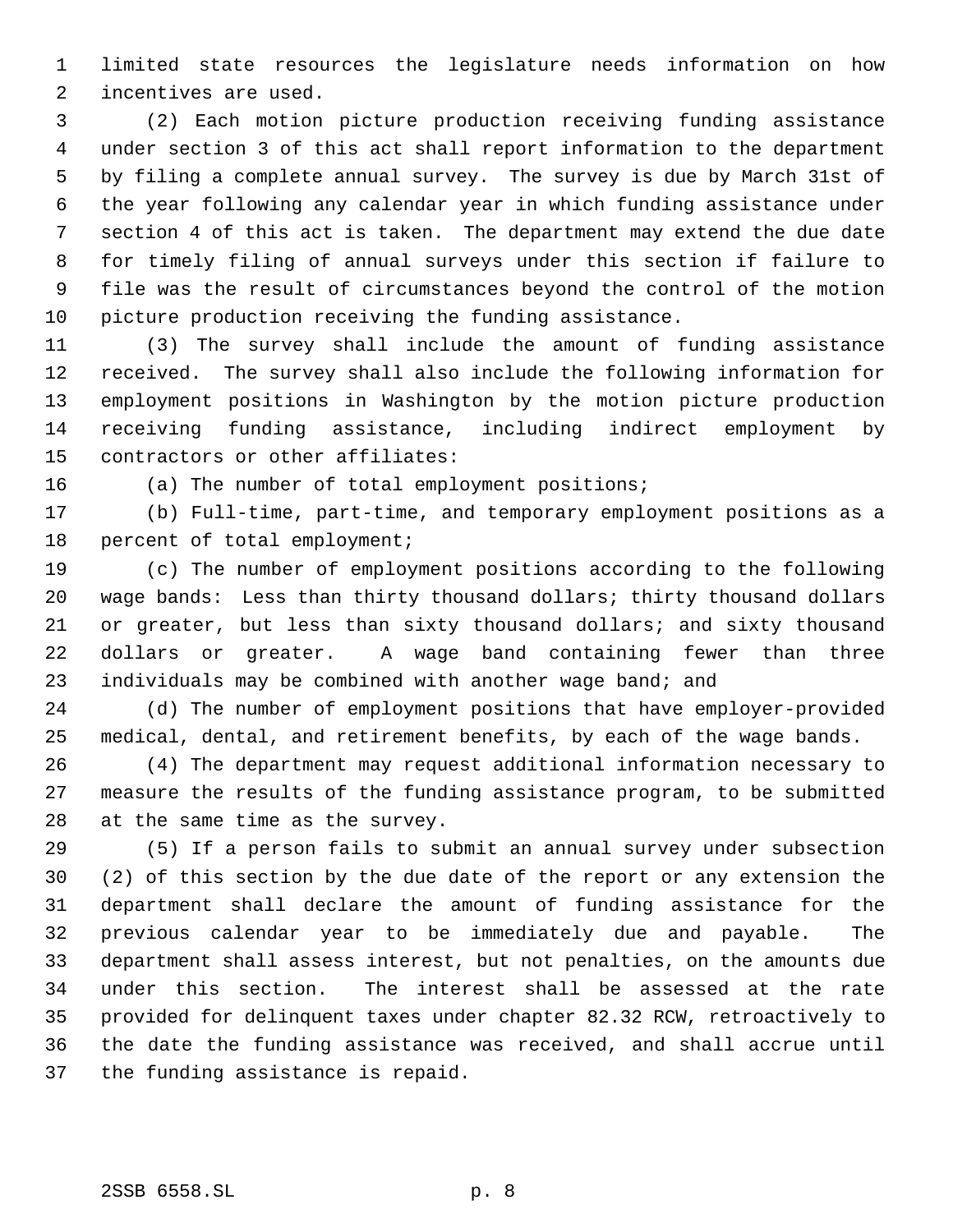limited state resources the legislature needs information on how incentives are used.

 (2) Each motion picture production receiving funding assistance under section 3 of this act shall report information to the department by filing a complete annual survey. The survey is due by March 31st of the year following any calendar year in which funding assistance under section 4 of this act is taken. The department may extend the due date for timely filing of annual surveys under this section if failure to file was the result of circumstances beyond the control of the motion picture production receiving the funding assistance.

 (3) The survey shall include the amount of funding assistance received. The survey shall also include the following information for employment positions in Washington by the motion picture production receiving funding assistance, including indirect employment by contractors or other affiliates:

(a) The number of total employment positions;

 (b) Full-time, part-time, and temporary employment positions as a percent of total employment;

 (c) The number of employment positions according to the following wage bands: Less than thirty thousand dollars; thirty thousand dollars or greater, but less than sixty thousand dollars; and sixty thousand dollars or greater. A wage band containing fewer than three individuals may be combined with another wage band; and

 (d) The number of employment positions that have employer-provided medical, dental, and retirement benefits, by each of the wage bands.

 (4) The department may request additional information necessary to measure the results of the funding assistance program, to be submitted at the same time as the survey.

 (5) If a person fails to submit an annual survey under subsection (2) of this section by the due date of the report or any extension the department shall declare the amount of funding assistance for the previous calendar year to be immediately due and payable. The department shall assess interest, but not penalties, on the amounts due under this section. The interest shall be assessed at the rate provided for delinquent taxes under chapter 82.32 RCW, retroactively to the date the funding assistance was received, and shall accrue until the funding assistance is repaid.